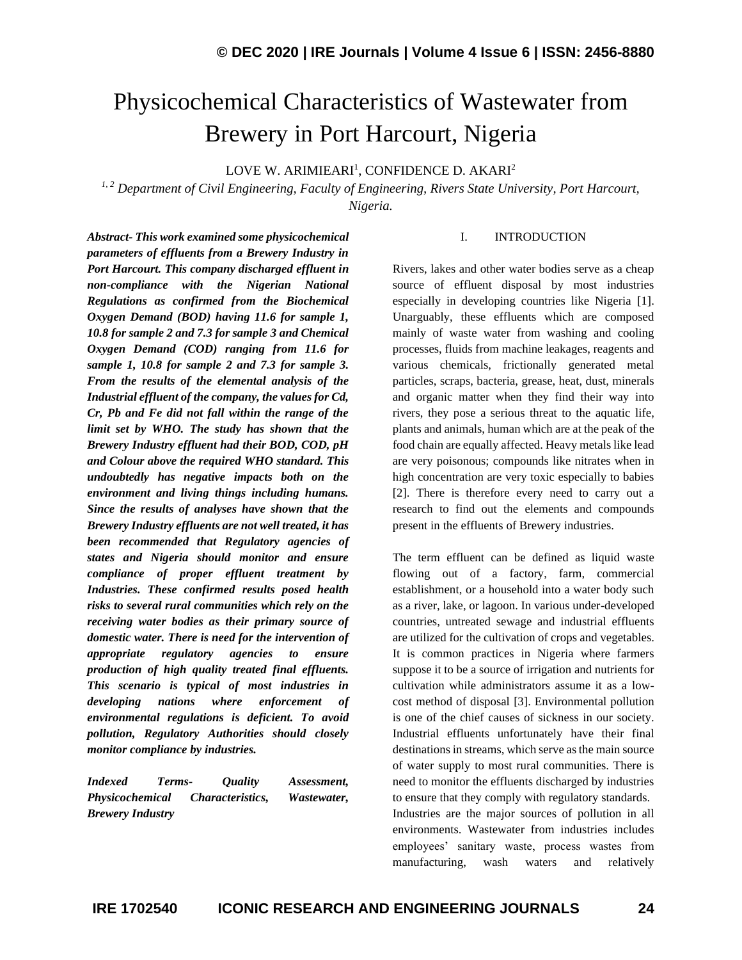# Physicochemical Characteristics of Wastewater from Brewery in Port Harcourt, Nigeria

LOVE W. ARIMIEARI<sup>1</sup>, CONFIDENCE D. AKARI<sup>2</sup>

*1, 2 Department of Civil Engineering, Faculty of Engineering, Rivers State University, Port Harcourt, Nigeria.*

*Abstract- This work examined some physicochemical parameters of effluents from a Brewery Industry in Port Harcourt. This company discharged effluent in non-compliance with the Nigerian National Regulations as confirmed from the Biochemical Oxygen Demand (BOD) having 11.6 for sample 1, 10.8 for sample 2 and 7.3 for sample 3 and Chemical Oxygen Demand (COD) ranging from 11.6 for sample 1, 10.8 for sample 2 and 7.3 for sample 3. From the results of the elemental analysis of the Industrial effluent of the company, the values for Cd, Cr, Pb and Fe did not fall within the range of the limit set by WHO. The study has shown that the Brewery Industry effluent had their BOD, COD, pH and Colour above the required WHO standard. This undoubtedly has negative impacts both on the environment and living things including humans. Since the results of analyses have shown that the Brewery Industry effluents are not well treated, it has been recommended that Regulatory agencies of states and Nigeria should monitor and ensure compliance of proper effluent treatment by Industries. These confirmed results posed health risks to several rural communities which rely on the receiving water bodies as their primary source of domestic water. There is need for the intervention of appropriate regulatory agencies to ensure production of high quality treated final effluents. This scenario is typical of most industries in developing nations where enforcement of environmental regulations is deficient. To avoid pollution, Regulatory Authorities should closely monitor compliance by industries.*

*Indexed Terms- Quality Assessment, Physicochemical Characteristics, Wastewater, Brewery Industry*

#### I. INTRODUCTION

Rivers, lakes and other water bodies serve as a cheap source of effluent disposal by most industries especially in developing countries like Nigeria [1]. Unarguably, these effluents which are composed mainly of waste water from washing and cooling processes, fluids from machine leakages, reagents and various chemicals, frictionally generated metal particles, scraps, bacteria, grease, heat, dust, minerals and organic matter when they find their way into rivers, they pose a serious threat to the aquatic life, plants and animals, human which are at the peak of the food chain are equally affected. Heavy metals like lead are very poisonous; compounds like nitrates when in high concentration are very toxic especially to babies [2]. There is therefore every need to carry out a research to find out the elements and compounds present in the effluents of Brewery industries.

The term effluent can be defined as liquid waste flowing out of a factory, farm, commercial establishment, or a household into a water body such as a river, lake, or lagoon. In various under-developed countries, untreated sewage and industrial effluents are utilized for the cultivation of crops and vegetables. It is common practices in Nigeria where farmers suppose it to be a source of irrigation and nutrients for cultivation while administrators assume it as a lowcost method of disposal [3]. Environmental pollution is one of the chief causes of sickness in our society. Industrial effluents unfortunately have their final destinations in streams, which serve as the main source of water supply to most rural communities. There is need to monitor the effluents discharged by industries to ensure that they comply with regulatory standards. Industries are the major sources of pollution in all environments. Wastewater from industries includes employees' sanitary waste, process wastes from manufacturing, wash waters and relatively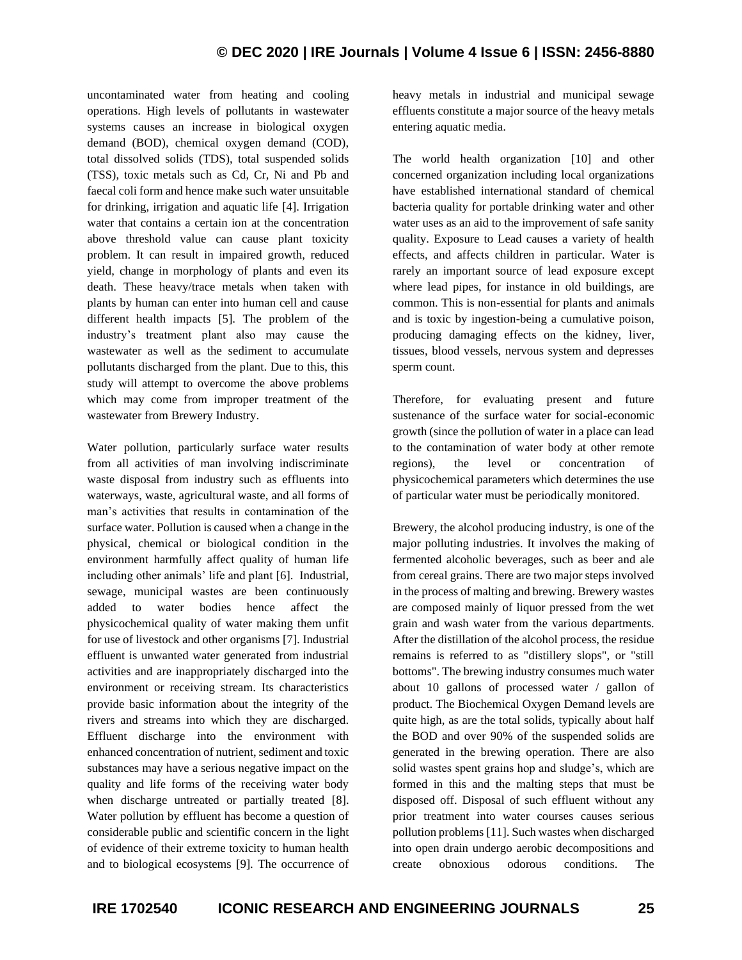uncontaminated water from heating and cooling operations. High levels of pollutants in wastewater systems causes an increase in biological oxygen demand (BOD), chemical oxygen demand (COD), total dissolved solids (TDS), total suspended solids (TSS), toxic metals such as Cd, Cr, Ni and Pb and faecal coli form and hence make such water unsuitable for drinking, irrigation and aquatic life [4]. Irrigation water that contains a certain ion at the concentration above threshold value can cause plant toxicity problem. It can result in impaired growth, reduced yield, change in morphology of plants and even its death. These heavy/trace metals when taken with plants by human can enter into human cell and cause different health impacts [5]. The problem of the industry's treatment plant also may cause the wastewater as well as the sediment to accumulate pollutants discharged from the plant. Due to this, this study will attempt to overcome the above problems which may come from improper treatment of the wastewater from Brewery Industry.

Water pollution, particularly surface water results from all activities of man involving indiscriminate waste disposal from industry such as effluents into waterways, waste, agricultural waste, and all forms of man's activities that results in contamination of the surface water. Pollution is caused when a change in the physical, chemical or biological condition in the environment harmfully affect quality of human life including other animals' life and plant [6]. Industrial, sewage, municipal wastes are been continuously added to water bodies hence affect the physicochemical quality of water making them unfit for use of livestock and other organisms [7]. Industrial effluent is unwanted water generated from industrial activities and are inappropriately discharged into the environment or receiving stream. Its characteristics provide basic information about the integrity of the rivers and streams into which they are discharged. Effluent discharge into the environment with enhanced concentration of nutrient, sediment and toxic substances may have a serious negative impact on the quality and life forms of the receiving water body when discharge untreated or partially treated [8]. Water pollution by effluent has become a question of considerable public and scientific concern in the light of evidence of their extreme toxicity to human health and to biological ecosystems [9]. The occurrence of heavy metals in industrial and municipal sewage effluents constitute a major source of the heavy metals entering aquatic media.

The world health organization [10] and other concerned organization including local organizations have established international standard of chemical bacteria quality for portable drinking water and other water uses as an aid to the improvement of safe sanity quality. Exposure to Lead causes a variety of health effects, and affects children in particular. Water is rarely an important source of lead exposure except where lead pipes, for instance in old buildings, are common. This is non-essential for plants and animals and is toxic by ingestion-being a cumulative poison, producing damaging effects on the kidney, liver, tissues, blood vessels, nervous system and depresses sperm count.

Therefore, for evaluating present and future sustenance of the surface water for social-economic growth (since the pollution of water in a place can lead to the contamination of water body at other remote regions), the level or concentration of physicochemical parameters which determines the use of particular water must be periodically monitored.

Brewery, the alcohol producing industry, is one of the major polluting industries. It involves the making of fermented alcoholic beverages, such as beer and ale from cereal grains. There are two major steps involved in the process of malting and brewing. Brewery wastes are composed mainly of liquor pressed from the wet grain and wash water from the various departments. After the distillation of the alcohol process, the residue remains is referred to as "distillery slops", or "still bottoms". The brewing industry consumes much water about 10 gallons of processed water / gallon of product. The Biochemical Oxygen Demand levels are quite high, as are the total solids, typically about half the BOD and over 90% of the suspended solids are generated in the brewing operation. There are also solid wastes spent grains hop and sludge's, which are formed in this and the malting steps that must be disposed off. Disposal of such effluent without any prior treatment into water courses causes serious pollution problems [11]. Such wastes when discharged into open drain undergo aerobic decompositions and create obnoxious odorous conditions. The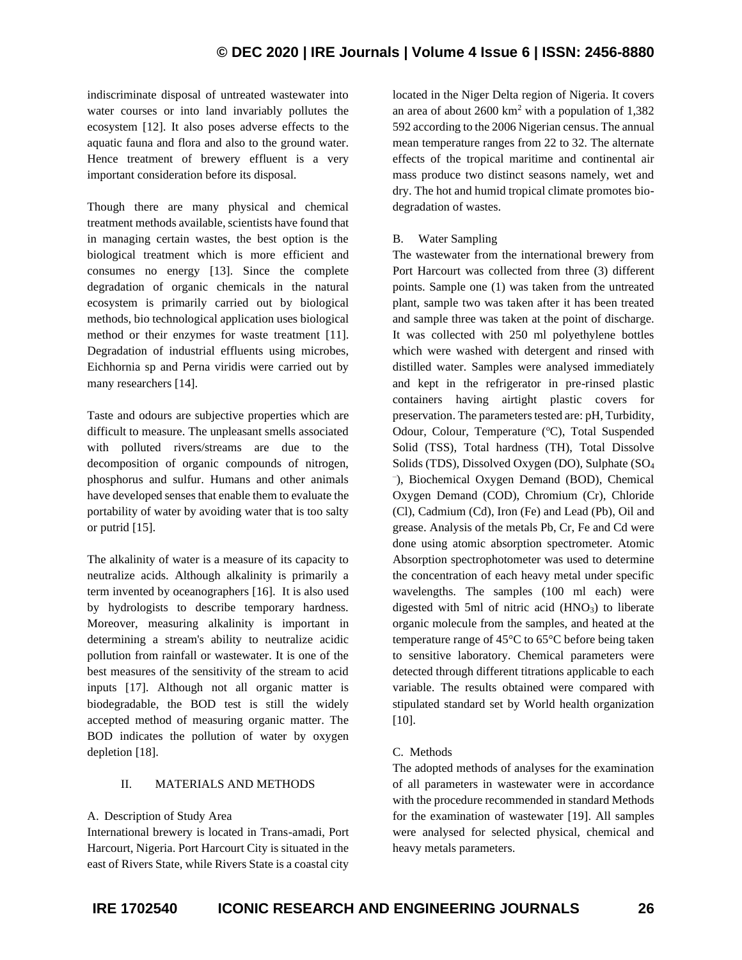indiscriminate disposal of untreated wastewater into water courses or into land invariably pollutes the ecosystem [12]. It also poses adverse effects to the aquatic fauna and flora and also to the ground water. Hence treatment of brewery effluent is a very important consideration before its disposal.

Though there are many physical and chemical treatment methods available, scientists have found that in managing certain wastes, the best option is the biological treatment which is more efficient and consumes no energy [13]. Since the complete degradation of organic chemicals in the natural ecosystem is primarily carried out by biological methods, bio technological application uses biological method or their enzymes for waste treatment [11]. Degradation of industrial effluents using microbes, Eichhornia sp and Perna viridis were carried out by many researchers [14].

Taste and odours are subjective properties which are difficult to measure. The unpleasant smells associated with polluted rivers/streams are due to the decomposition of organic compounds of nitrogen, phosphorus and sulfur. Humans and other animals have developed senses that enable them to evaluate the portability of water by avoiding water that is too salty or putrid [15].

The alkalinity of water is a measure of its capacity to neutralize acids. Although alkalinity is primarily a term invented by oceanographers [16]. It is also used by hydrologists to describe temporary hardness. Moreover, measuring alkalinity is important in determining a stream's ability to neutralize acidic pollution from rainfall or wastewater. It is one of the best measures of the sensitivity of the stream to acid inputs [17]. Although not all organic matter is biodegradable, the BOD test is still the widely accepted method of measuring organic matter. The BOD indicates the pollution of water by oxygen depletion [18].

## II. MATERIALS AND METHODS

## A. Description of Study Area

International brewery is located in Trans-amadi, Port Harcourt, Nigeria. Port Harcourt City is situated in the east of Rivers State, while Rivers State is a coastal city

located in the Niger Delta region of Nigeria. It covers an area of about  $2600 \text{ km}^2$  with a population of  $1,382$ 592 according to the 2006 Nigerian census. The annual mean temperature ranges from 22 to 32. The alternate effects of the tropical maritime and continental air mass produce two distinct seasons namely, wet and dry. The hot and humid tropical climate promotes biodegradation of wastes.

# B. Water Sampling

The wastewater from the international brewery from Port Harcourt was collected from three (3) different points. Sample one (1) was taken from the untreated plant, sample two was taken after it has been treated and sample three was taken at the point of discharge. It was collected with 250 ml polyethylene bottles which were washed with detergent and rinsed with distilled water. Samples were analysed immediately and kept in the refrigerator in pre-rinsed plastic containers having airtight plastic covers for preservation. The parameters tested are: pH, Turbidity, Odour, Colour, Temperature (°C), Total Suspended Solid (TSS), Total hardness (TH), Total Dissolve Solids (TDS), Dissolved Oxygen (DO), Sulphate (SO<sup>4</sup> – ), Biochemical Oxygen Demand (BOD), Chemical Oxygen Demand (COD), Chromium (Cr), Chloride (Cl), Cadmium (Cd), Iron (Fe) and Lead (Pb), Oil and grease. Analysis of the metals Pb, Cr, Fe and Cd were done using atomic absorption spectrometer. Atomic Absorption spectrophotometer was used to determine the concentration of each heavy metal under specific wavelengths. The samples (100 ml each) were digested with 5ml of nitric acid  $(HNO<sub>3</sub>)$  to liberate organic molecule from the samples, and heated at the temperature range of 45°C to 65°C before being taken to sensitive laboratory. Chemical parameters were detected through different titrations applicable to each variable. The results obtained were compared with stipulated standard set by World health organization [10].

# C. Methods

The adopted methods of analyses for the examination of all parameters in wastewater were in accordance with the procedure recommended in standard Methods for the examination of wastewater [19]. All samples were analysed for selected physical, chemical and heavy metals parameters.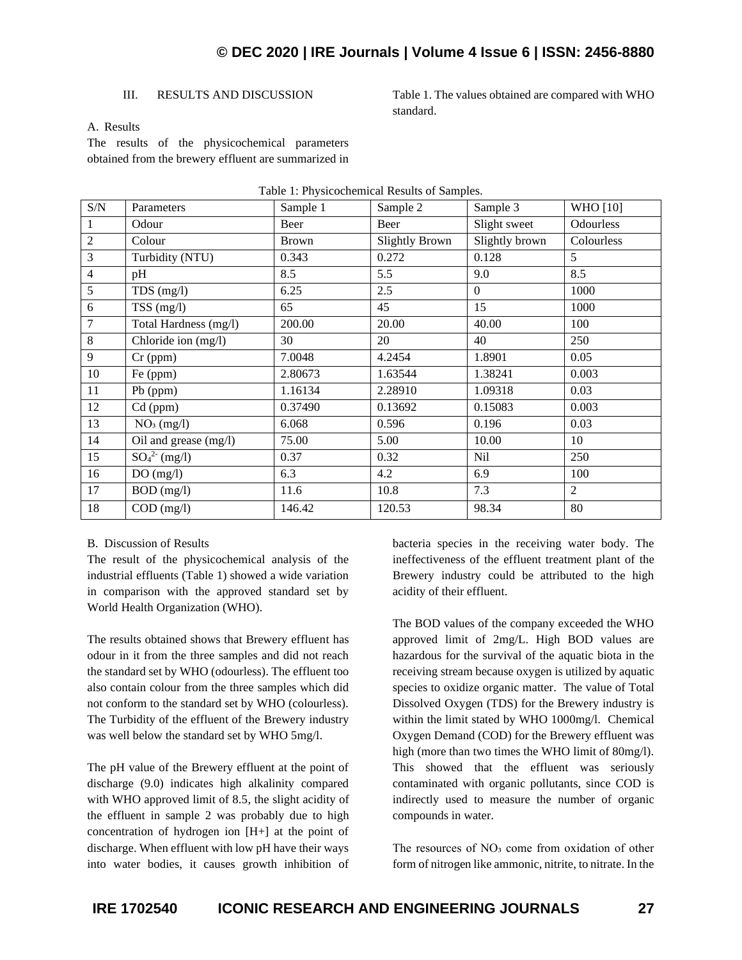# **© DEC 2020 | IRE Journals | Volume 4 Issue 6 | ISSN: 2456-8880**

#### III. RESULTS AND DISCUSSION

Table 1. The values obtained are compared with WHO standard.

#### A. Results

The results of the physicochemical parameters obtained from the brewery effluent are summarized in

| S/N            | Parameters             | Sample 1     | Sample 2       | Sample 3       | <b>WHO</b> [10] |
|----------------|------------------------|--------------|----------------|----------------|-----------------|
| 1              | Odour                  | Beer         | Beer           | Slight sweet   | Odourless       |
| $\overline{2}$ | Colour                 | <b>Brown</b> | Slightly Brown | Slightly brown | Colourless      |
| 3              | Turbidity (NTU)        | 0.343        | 0.272          | 0.128          | $5^{\circ}$     |
| 4              | pH                     | 8.5          | 5.5            | 9.0            | 8.5             |
| 5              | $TDS$ (mg/l)           | 6.25         | 2.5            | $\Omega$       | 1000            |
| 6              | $TSS$ (mg/l)           | 65           | 45             | 15             | 1000            |
| 7              | Total Hardness (mg/l)  | 200.00       | 20.00          | 40.00          | 100             |
| 8              | Chloride ion (mg/l)    | 30           | 20             | 40             | 250             |
| 9              | $Cr$ (ppm)             | 7.0048       | 4.2454         | 1.8901         | 0.05            |
| 10             | Fe (ppm)               | 2.80673      | 1.63544        | 1.38241        | 0.003           |
| 11             | Pb (ppm)               | 1.16134      | 2.28910        | 1.09318        | 0.03            |
| 12             | Cd (ppm)               | 0.37490      | 0.13692        | 0.15083        | 0.003           |
| 13             | NO <sub>3</sub> (mg/l) | 6.068        | 0.596          | 0.196          | 0.03            |
| 14             | Oil and grease (mg/l)  | 75.00        | 5.00           | 10.00          | 10              |
| 15             | $SO_4^{2-}$ (mg/l)     | 0.37         | 0.32           | Nil            | 250             |
| 16             | DO(mg/l)               | 6.3          | 4.2            | 6.9            | 100             |
| 17             | BOD (mg/l)             | 11.6         | 10.8           | 7.3            | 2               |
| 18             | $COD$ (mg/l)           | 146.42       | 120.53         | 98.34          | 80              |

#### Table 1: Physicochemical Results of Samples.

#### B. Discussion of Results

The result of the physicochemical analysis of the industrial effluents (Table 1) showed a wide variation in comparison with the approved standard set by World Health Organization (WHO).

The results obtained shows that Brewery effluent has odour in it from the three samples and did not reach the standard set by WHO (odourless). The effluent too also contain colour from the three samples which did not conform to the standard set by WHO (colourless). The Turbidity of the effluent of the Brewery industry was well below the standard set by WHO 5mg/l.

The pH value of the Brewery effluent at the point of discharge (9.0) indicates high alkalinity compared with WHO approved limit of 8.5, the slight acidity of the effluent in sample 2 was probably due to high concentration of hydrogen ion [H+] at the point of discharge. When effluent with low pH have their ways into water bodies, it causes growth inhibition of bacteria species in the receiving water body. The ineffectiveness of the effluent treatment plant of the Brewery industry could be attributed to the high acidity of their effluent.

The BOD values of the company exceeded the WHO approved limit of 2mg/L. High BOD values are hazardous for the survival of the aquatic biota in the receiving stream because oxygen is utilized by aquatic species to oxidize organic matter. The value of Total Dissolved Oxygen (TDS) for the Brewery industry is within the limit stated by WHO 1000mg/l. Chemical Oxygen Demand (COD) for the Brewery effluent was high (more than two times the WHO limit of 80mg/l). This showed that the effluent was seriously contaminated with organic pollutants, since COD is indirectly used to measure the number of organic compounds in water.

The resources of NO<sub>3</sub> come from oxidation of other form of nitrogen like ammonic, nitrite, to nitrate. In the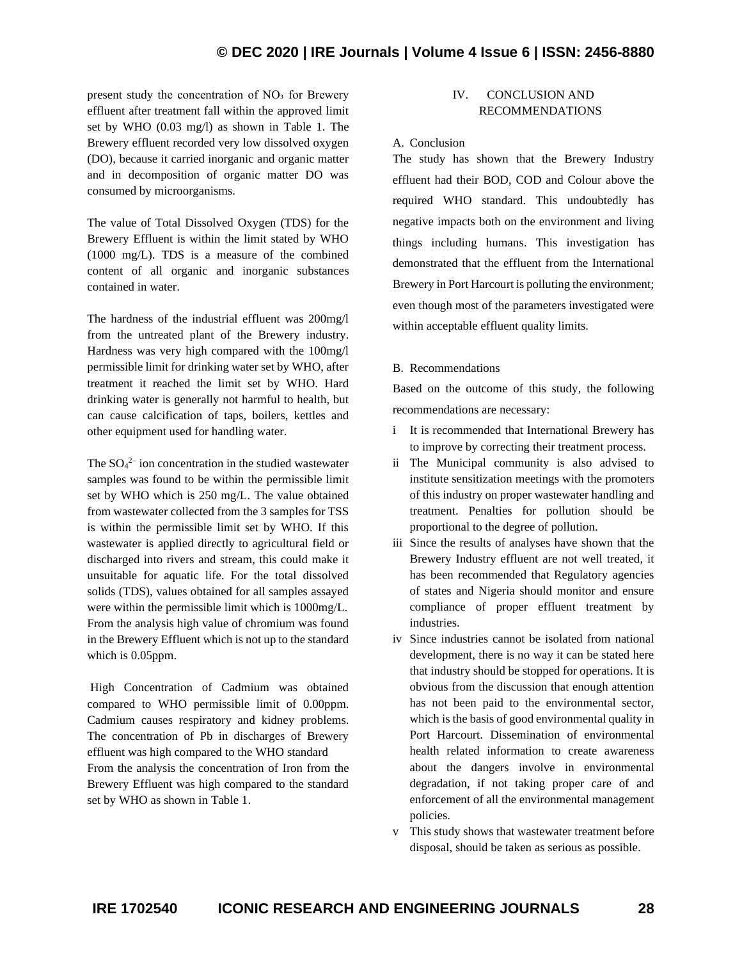# **© DEC 2020 | IRE Journals | Volume 4 Issue 6 | ISSN: 2456-8880**

present study the concentration of NO<sub>3</sub> for Brewery effluent after treatment fall within the approved limit set by WHO (0.03 mg/l) as shown in Table 1. The Brewery effluent recorded very low dissolved oxygen (DO), because it carried inorganic and organic matter and in decomposition of organic matter DO was consumed by microorganisms.

The value of Total Dissolved Oxygen (TDS) for the Brewery Effluent is within the limit stated by WHO (1000 mg/L). TDS is a measure of the combined content of all organic and inorganic substances contained in water.

The hardness of the industrial effluent was 200mg/l from the untreated plant of the Brewery industry. Hardness was very high compared with the 100mg/l permissible limit for drinking water set by WHO, after treatment it reached the limit set by WHO. Hard drinking water is generally not harmful to health, but can cause calcification of taps, boilers, kettles and other equipment used for handling water.

The  $SO_4^2$  ion concentration in the studied wastewater samples was found to be within the permissible limit set by WHO which is 250 mg/L. The value obtained from wastewater collected from the 3 samples for TSS is within the permissible limit set by WHO. If this wastewater is applied directly to agricultural field or discharged into rivers and stream, this could make it unsuitable for aquatic life. For the total dissolved solids (TDS), values obtained for all samples assayed were within the permissible limit which is 1000mg/L. From the analysis high value of chromium was found in the Brewery Effluent which is not up to the standard which is 0.05ppm.

High Concentration of Cadmium was obtained compared to WHO permissible limit of 0.00ppm. Cadmium causes respiratory and kidney problems. The concentration of Pb in discharges of Brewery effluent was high compared to the WHO standard From the analysis the concentration of Iron from the Brewery Effluent was high compared to the standard set by WHO as shown in Table 1.

# IV. CONCLUSION AND RECOMMENDATIONS

#### A. Conclusion

The study has shown that the Brewery Industry effluent had their BOD, COD and Colour above the required WHO standard. This undoubtedly has negative impacts both on the environment and living things including humans. This investigation has demonstrated that the effluent from the International Brewery in Port Harcourt is polluting the environment; even though most of the parameters investigated were within acceptable effluent quality limits.

#### B. Recommendations

Based on the outcome of this study, the following recommendations are necessary:

- i It is recommended that International Brewery has to improve by correcting their treatment process.
- ii The Municipal community is also advised to institute sensitization meetings with the promoters of this industry on proper wastewater handling and treatment. Penalties for pollution should be proportional to the degree of pollution.
- iii Since the results of analyses have shown that the Brewery Industry effluent are not well treated, it has been recommended that Regulatory agencies of states and Nigeria should monitor and ensure compliance of proper effluent treatment by industries.
- iv Since industries cannot be isolated from national development, there is no way it can be stated here that industry should be stopped for operations. It is obvious from the discussion that enough attention has not been paid to the environmental sector, which is the basis of good environmental quality in Port Harcourt. Dissemination of environmental health related information to create awareness about the dangers involve in environmental degradation, if not taking proper care of and enforcement of all the environmental management policies.
- v This study shows that wastewater treatment before disposal, should be taken as serious as possible.